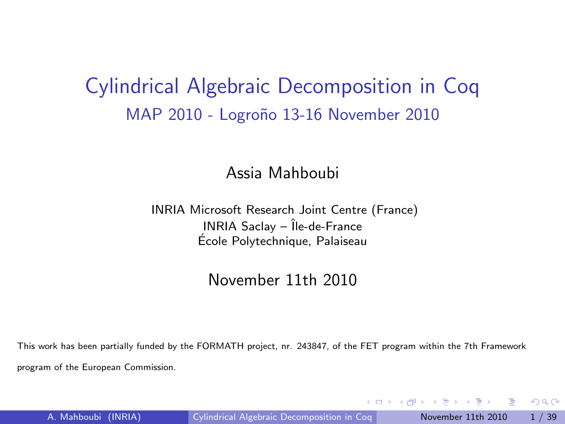### Cylindrical Algebraic Decomposition in Coq MAP 2010 - Logroño 13-16 November 2010

#### Assia Mahboubi

#### INRIA Microsoft Research Joint Centre (France)  $INRIA$  Saclay –  $\hat{I}$ le-de-France Ecole Polytechnique, Palaiseau ´

#### November 11th 2010

This work has been partially funded by the FORMATH project, nr. 243847, of the FET program within the 7th Framework program of the European Commission.

<span id="page-0-0"></span> $QQ$ 

 $\mathcal{L}$  and  $\mathcal{L}$  and  $\mathcal{L}$  in the set of  $\mathcal{L}$  in the set of  $\mathcal{L}$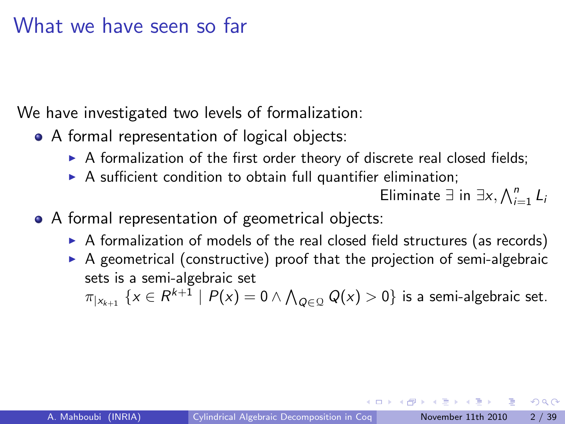### What we have seen so far

We have investigated two levels of formalization:

- A formal representation of logical objects:
	- $\triangleright$  A formalization of the first order theory of discrete real closed fields;
	- $\triangleright$  A sufficient condition to obtain full quantifier elimination;

Eliminate ∃ in  $\exists x, \bigwedge_{i=1}^n L_i$ 

- A formal representation of geometrical objects:
	- $\triangleright$  A formalization of models of the real closed field structures (as records)
	- $\triangleright$  A geometrical (constructive) proof that the projection of semi-algebraic sets is a semi-algebraic set

 $\pi_{|{\mathsf{x}}_{k+1}}\,\left\{{\mathsf{x}}\in R^{k+1}\,\left|\right.{P}({\mathsf{x}})=0 \wedge \bigwedge_{Q\in\mathcal{Q}} Q({\mathsf{x}})>0\right\}$  is a semi-algebraic set.

 $QQQ$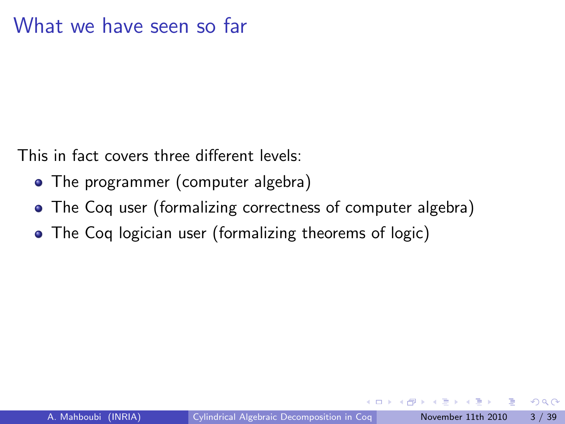This in fact covers three different levels:

- The programmer (computer algebra)
- The Coq user (formalizing correctness of computer algebra)
- The Coq logician user (formalizing theorems of logic)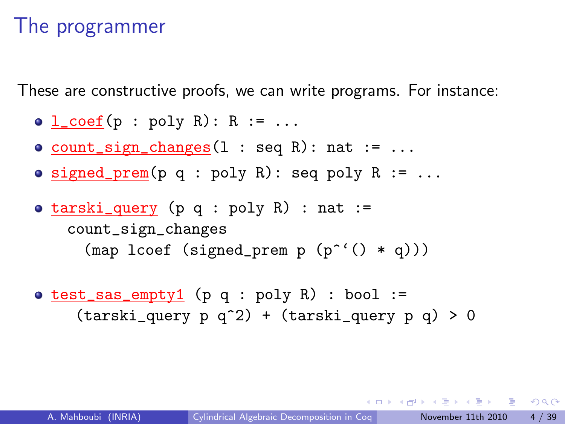## The programmer

These are constructive proofs, we can write programs. For instance:

- $\bullet$  l\_coef(p : poly R): R := ...
- $\bullet$  count\_sign\_changes(1 : seq R): nat := ...
- **signed\_prem(p q : poly R): seq poly R := ...**
- $\bullet$  tarski\_query (p q : poly R) : nat := count\_sign\_changes (map lcoef (signed\_prem p  $(p^{\texttt{``}}() * q))$ )
- $\bullet$  test\_sas\_empty1 (p q : poly R) : bool :=  $(tarski_query p q^2) + (tarski_query p q) > 0$

**KOD KOD KED KED DAR**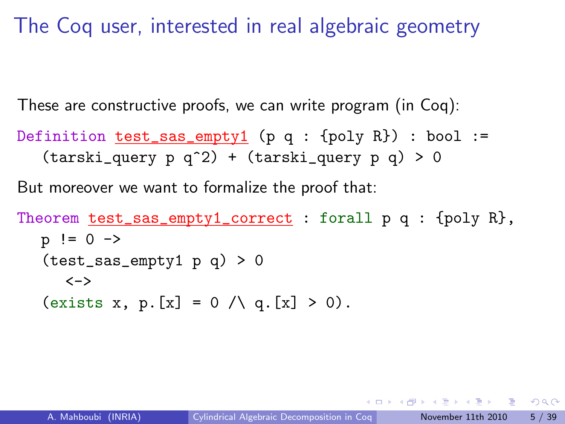The Coq user, interested in real algebraic geometry

These are constructive proofs, we can write program (in Coq):

Definition  $test\_sas\_empty1$  (p q : {poly R}) : bool :=  $(tarski_query p q^2) + (tarski_query p q) > 0$ 

But moreover we want to formalize the proof that:

Theorem test\_sas\_empty1\_correct : forall p q : {poly R},  $p := 0 \rightarrow$  $(test\_sas\_empty1 p q) > 0$  $\left\langle -\right\rangle$ (exists x, p. [x] = 0  $\land$  q. [x] > 0).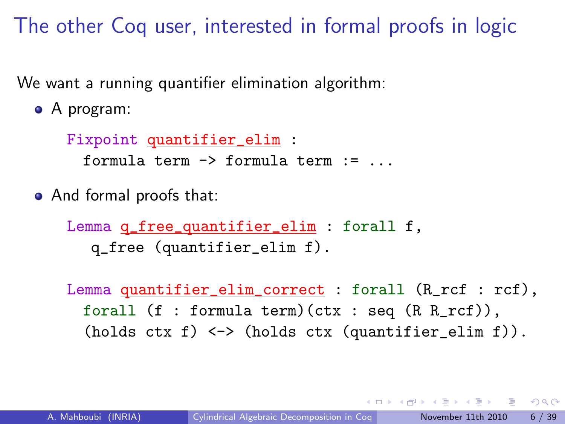The other Coq user, interested in formal proofs in logic

We want a running quantifier elimination algorithm:

A program:

Fixpoint quantifier\_elim : formula term -> formula term := ...

And formal proofs that:

Lemma q\_free\_quantifier\_elim : forall f, q\_free (quantifier\_elim f).

Lemma quantifier\_elim\_correct : forall (R\_rcf : rcf), forall (f : formula term)(ctx : seq (R R\_rcf)),  $(holds ctx f) \iff (holds ctx (quantifier\_elim f)).$ 

 $\Omega$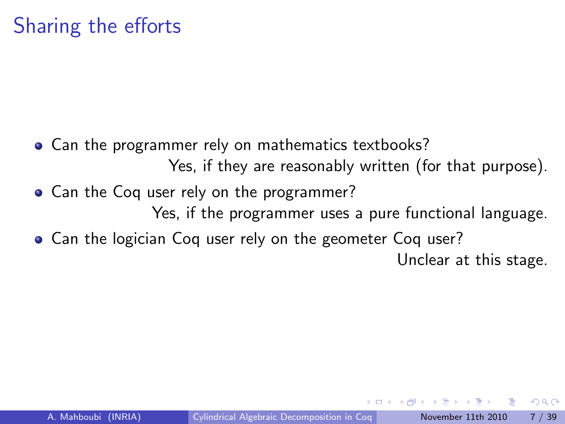### Sharing the efforts

- Can the programmer rely on mathematics textbooks? Yes, if they are reasonably written (for that purpose).
- Can the Coq user rely on the programmer? Yes, if the programmer uses a pure functional language.
- Can the logician Coq user rely on the geometer Coq user?

Unclear at this stage.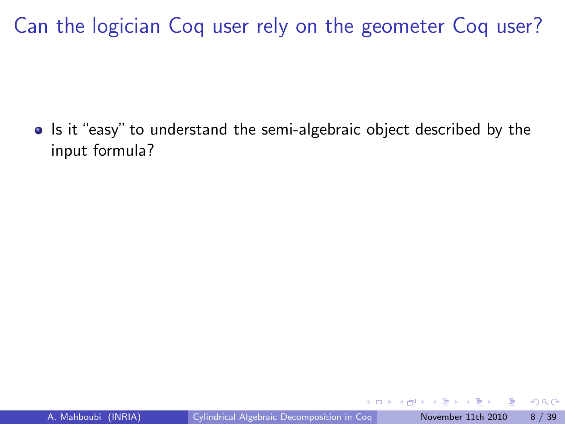• Is it "easy" to understand the semi-algebraic object described by the input formula?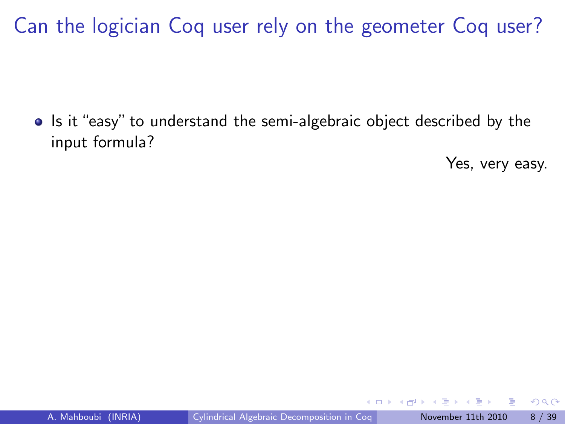• Is it "easy" to understand the semi-algebraic object described by the input formula?

Yes, very easy.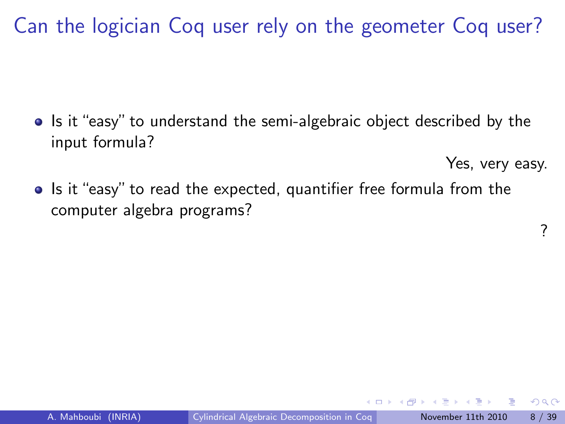• Is it "easy" to understand the semi-algebraic object described by the input formula?

Yes, very easy.

?

 $200$ 

• Is it "easy" to read the expected, quantifier free formula from the computer algebra programs?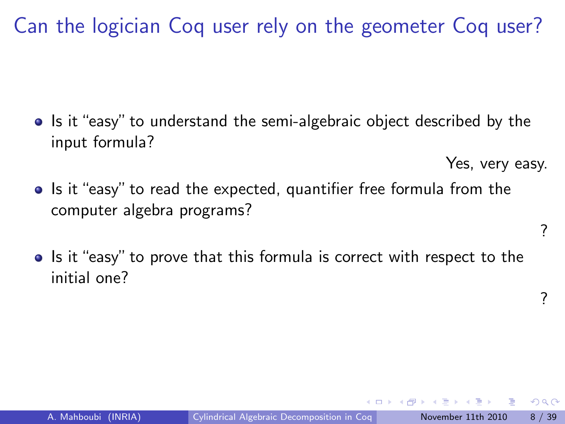• Is it "easy" to understand the semi-algebraic object described by the input formula?

Yes, very easy.

- Is it "easy" to read the expected, quantifier free formula from the computer algebra programs?
- Is it "easy" to prove that this formula is correct with respect to the initial one?

?

 $2040$ 

?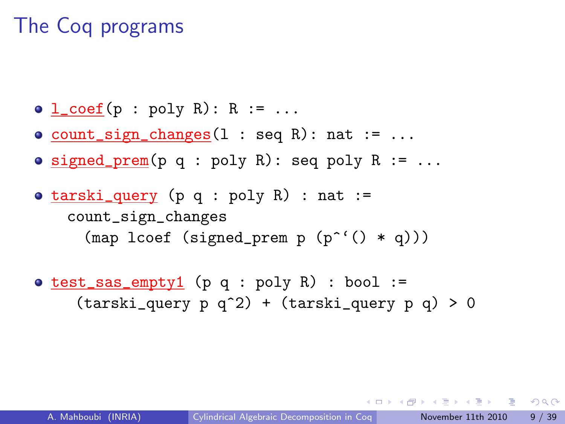# The Coq programs

- $\bullet$  l\_coef(p : poly R): R := ...
- $\circ$  count\_sign\_changes(1 : seq R): nat := ...
- $\bullet$  signed\_prem(p q : poly R): seq poly R := ...
- $\bullet$  tarski\_query (p q : poly R) : nat := count\_sign\_changes (map lcoef (signed\_prem  $p (p^*(x) * q))$ )
- $\bullet$  test\_sas\_empty1 (p q : poly R) : bool :=  $(tarski_query p q^2) + (tarski_query p q) > 0$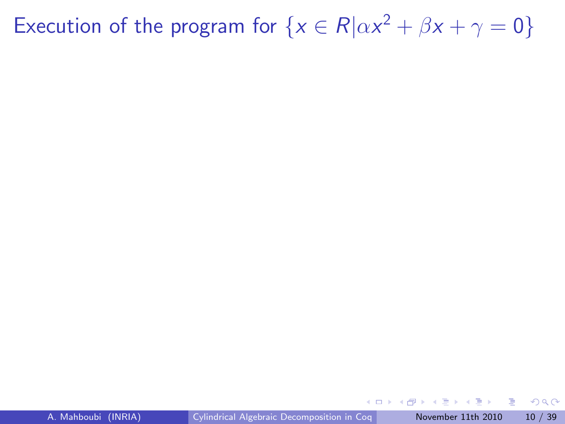Execution of the program for  $\{x \in R | \alpha x^2 + \beta x + \gamma = 0\}$ 

4日下

∢母

э

 $QQQ$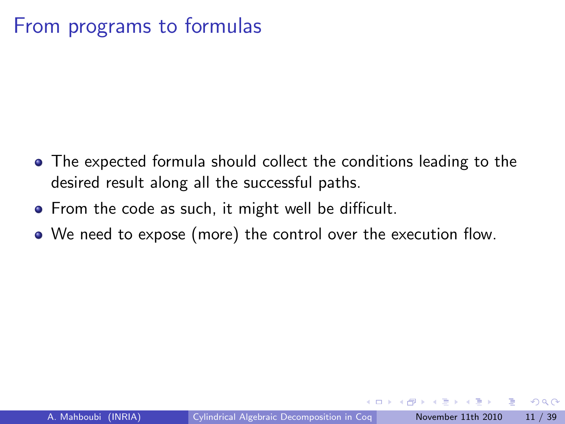### From programs to formulas

- The expected formula should collect the conditions leading to the desired result along all the successful paths.
- From the code as such, it might well be difficult.
- We need to expose (more) the control over the execution flow.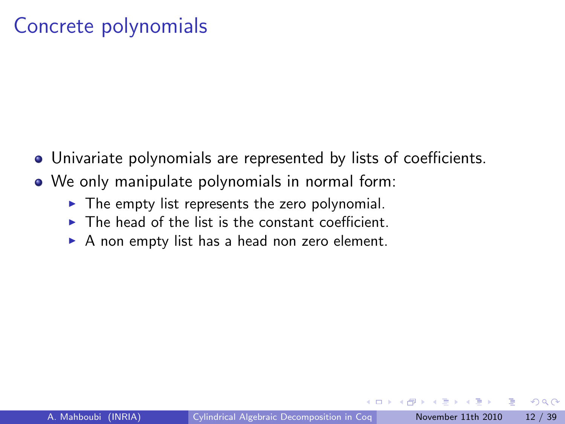### Concrete polynomials

- Univariate polynomials are represented by lists of coefficients.
- We only manipulate polynomials in normal form:
	- $\triangleright$  The empty list represents the zero polynomial.
	- $\triangleright$  The head of the list is the constant coefficient.
	- $\triangleright$  A non empty list has a head non zero element.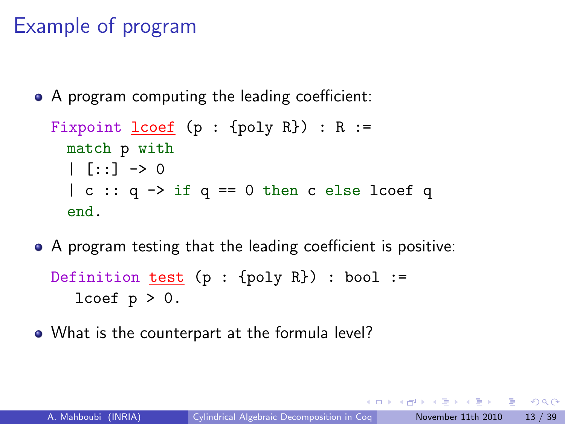# Example of program

• A program computing the leading coefficient:

```
Fixpoint lcoef (p : \{poly R\}) : R :=match p with
  | \cdot |: \cdot | \rightarrow 0| c :: q \rightarrow if q == 0 then c else loc f qend.
```
- A program testing that the leading coefficient is positive: Definition test  $(p : \{poly R\})$  : bool := lcoef  $p > 0$ .
- What is the counterpart at the formula level?

 $A \equiv A$   $B \equiv A \cap A$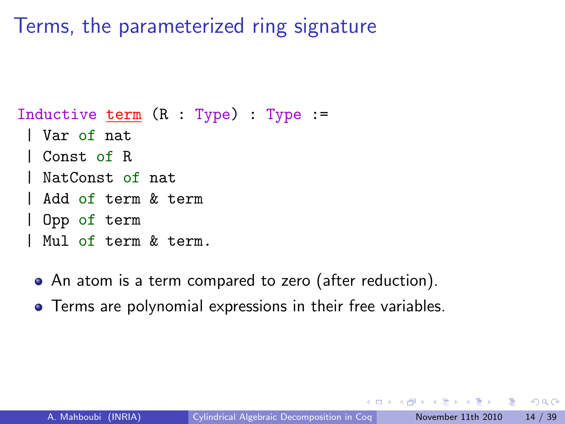### Terms, the parameterized ring signature

Inductive term  $(R : Type) : Type : =$ 

- | Var of nat
- Const of R
- NatConst of nat
- | Add of term & term
- | Opp of term
- | Mul of term & term.
- An atom is a term compared to zero (after reduction).
- Terms are polynomial expressions in their free variables.

 $QQQ$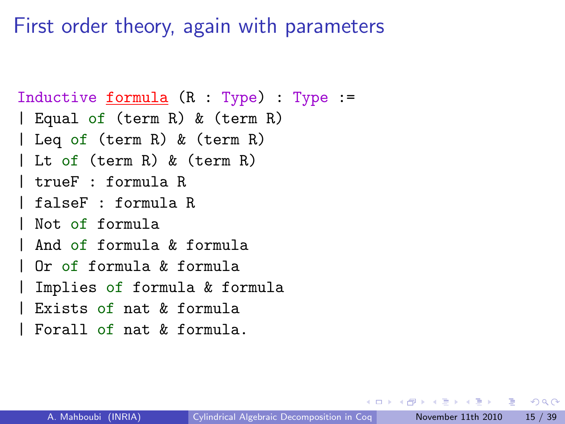First order theory, again with parameters

```
Inductive formula (R : Type) : Type :=
| Equal of (term R) & (term R)
| Leq of (term R) & (term R)
| Lt of (term R) & (term R)
| trueF : formula R
| falseF : formula R
| Not of formula
| And of formula & formula
 | Or of formula & formula
 Implies of formula & formula
 Exists of nat k formula
 Forall of nat k formula.
```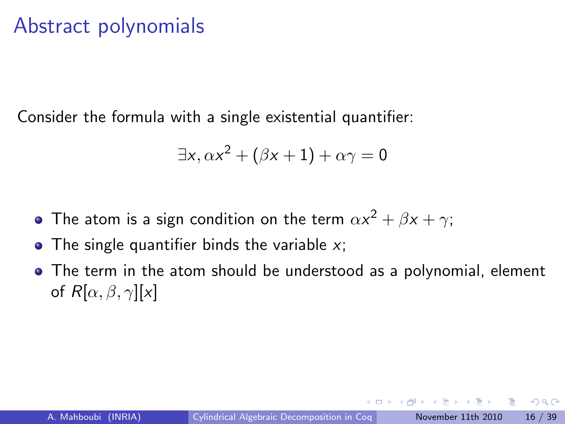### Abstract polynomials

Consider the formula with a single existential quantifier:

$$
\exists x, \alpha x^2 + (\beta x + 1) + \alpha \gamma = 0
$$

- The atom is a sign condition on the term  $\alpha x^2+\beta x+\gamma;$
- The single quantifier binds the variable  $x$ ;
- The term in the atom should be understood as a polynomial, element of  $R[\alpha, \beta, \gamma][x]$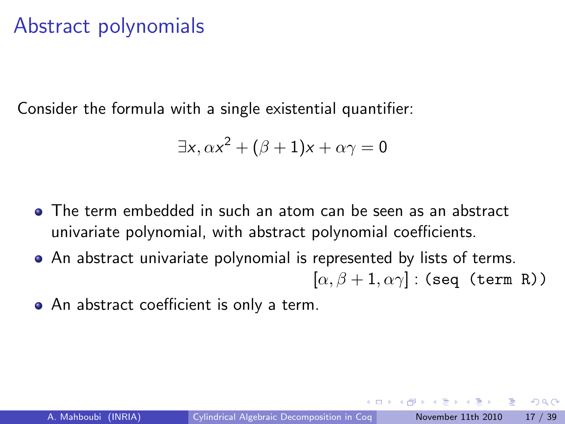### Abstract polynomials

Consider the formula with a single existential quantifier:

$$
\exists x, \alpha x^2 + (\beta + 1)x + \alpha \gamma = 0
$$

- The term embedded in such an atom can be seen as an abstract univariate polynomial, with abstract polynomial coefficients.
- An abstract univariate polynomial is represented by lists of terms.  $[\alpha, \beta + 1, \alpha \gamma]$ : (seq (term R))
- An abstract coefficient is only a term.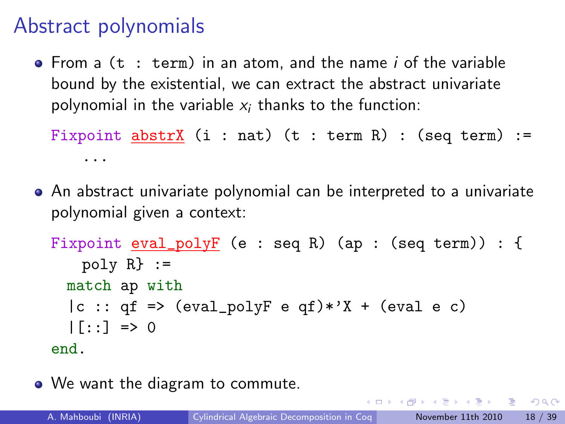## Abstract polynomials

 $\bullet$  From a (t : term) in an atom, and the name i of the variable bound by the existential, we can extract the abstract univariate polynomial in the variable  $x_i$  thanks to the function:

```
Fixpoint abstrX (i : nat) (t : term R) : (seq term) :=
    ...
```
An abstract univariate polynomial can be interpreted to a univariate polynomial given a context:

```
Fixpoint eval\_polyF (e : seq R) (ap : (seq term)) : {
   poly R} :=
 match ap with
  |c :: qf => (eval_polyF e qf)*'X + (eval e c)
  | [::] => 0
end.
```
• We want the diagram to commute.

(□ ) (包 )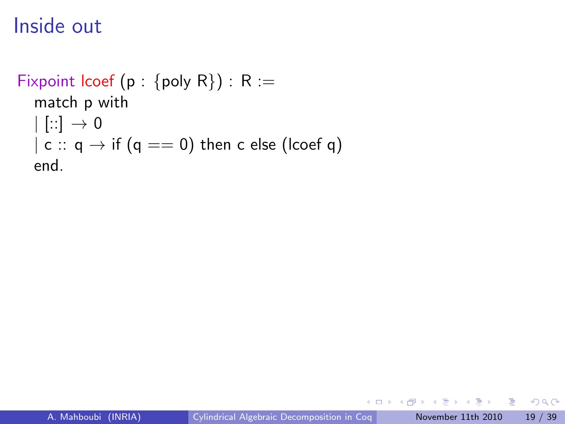```
Fixpoint lcoef (p : {poly R}) : R :=
  match p with
  | [::] \rightarrow 0| c :: q \rightarrow if (q == 0) then c else (lcoef q)
  end.
```
 $-111$ 

 $\rightarrow$   $\equiv$   $\rightarrow$ 

E

 $QQ$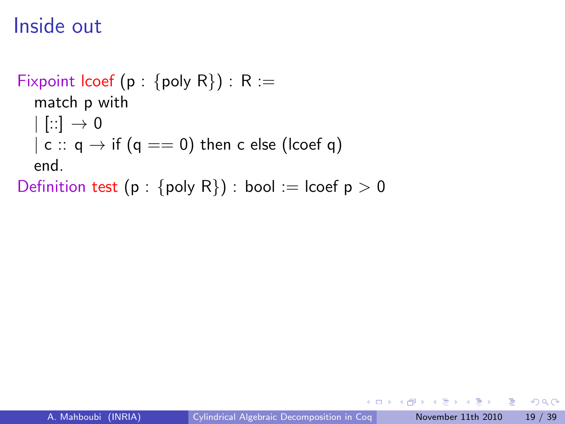```
Fixpoint lcoef (p : {poly R}) : R :=
  match p with
  | [::] \rightarrow 0| c :: q \rightarrow if (q == 0) then c else (lcoef q)
  end.
```
Definition test (p : {poly R}) : bool := lcoef  $p > 0$ 

E

 $QQ$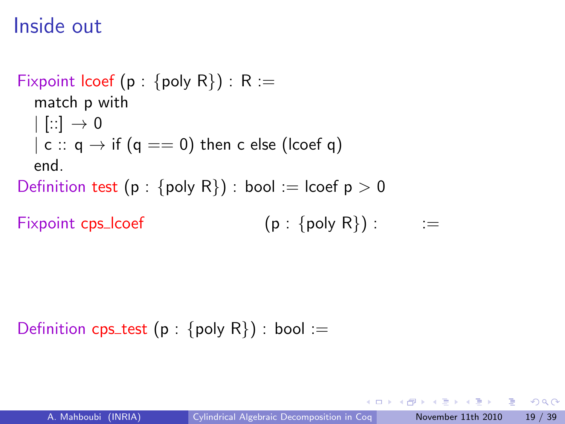```
Fixpoint lcoef (p : {poly R}) : R :=
  match p with
  | | :: | \rightarrow 0| c :: q \rightarrow if (q == 0) then c else (lcoef q)
  end.
Definition test (p : {poly R}) : bool := lcoef p > 0
```

```
Fixpoint cps_lcoef
                                             (p : \{ \text{poly } R \}):
                                                                           :=
```
Definition cps\_test (p : {poly R}) : bool :=

化重变 医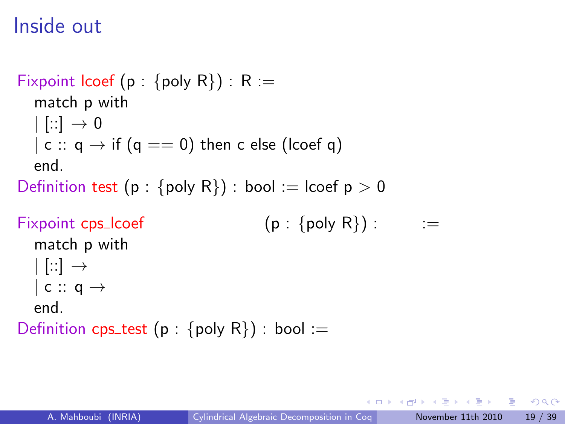```
Fixpoint lcoef (p : {poly R}) : R :=
  match p with
  | [::] \rightarrow 0| c :: q \rightarrow if (q == 0) then c else (lcoef q)
  end.
Definition test (p : {poly R}) : bool := lcoef p > 0Fixpoint cps_lcoef
                                         (p : \{ \text{poly } R \}):
                                                                    :=
  match p with
  | [::] \rightarrow| c :: q \rightarrowend.
Definition cps_test (p : {poly R}) : bool :=
```
化重变 医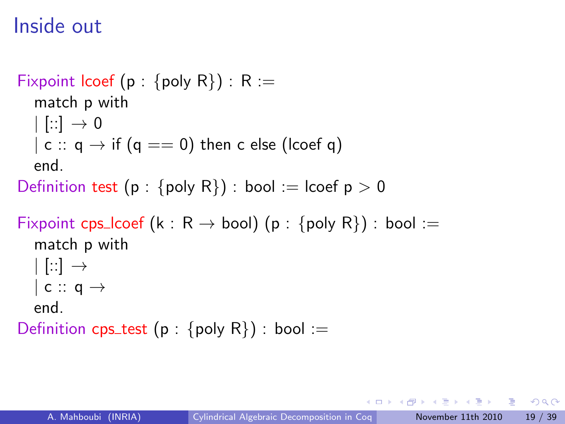```
Fixpoint lcoef (p : {poly R}) : R :=
  match p with
  | |::| \rightarrow 0| c :: q \rightarrow if (q == 0) then c else (lcoef q)
  end.
Definition test (p : {poly R}) : bool := lcoef p > 0
```

```
Fixpoint cps_lcoef (k : R \rightarrow bool) (p : {poly R}) : bool :=
   match p with
  | [::] \rightarrow| c :: q \rightarrowend.
```
Definition cps\_test (p : {poly R}) : bool :=

- 3

 $\Omega$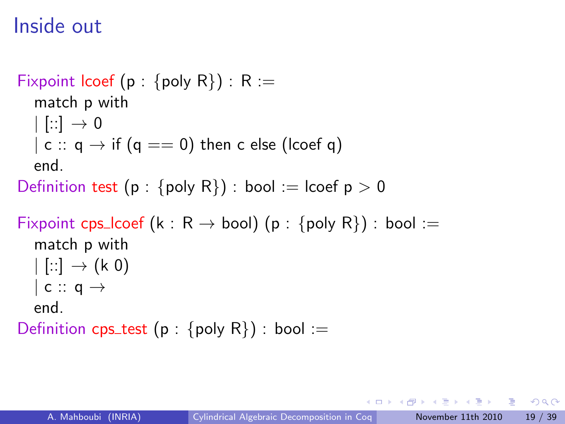```
Fixpoint lcoef (p : {poly R}) : R :=
  match p with
  | |::| \rightarrow 0| c :: q \rightarrow if (q == 0) then c else (lcoef q)
  end.
Definition test (p : {poly R}) : bool := lcoef p > 0
```

```
Fixpoint cps_lcoef (k : R \rightarrow bool) (p : {poly R}) : bool :=
   match p with
  | |::] \rightarrow (k 0)
  | c :: q \rightarrowend.
```
Definition cps\_test (p : {poly R}) : bool :=

- 3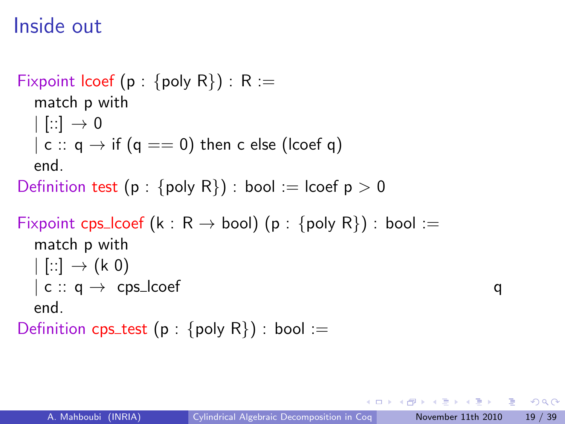```
Fixpoint lcoef (p : {poly R}) : R :=
  match p with
  | |::| \rightarrow 0| c :: q \rightarrow if (q == 0) then c else (lcoef q)
  end.
Definition test (p : {poly R}) : bool := lcoef p > 0Fixpoint cps_lcoef (k : R \rightarrow bool) (p : {poly R}) : bool :=
  match p with
  | |::] \rightarrow (k 0)
  | c :: q \rightarrow cps lcoef
  end.
```
Definition cps\_test (p : {poly R}) : bool :=

q

- 3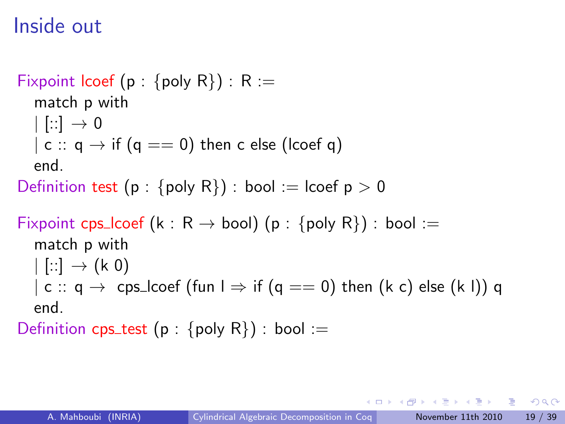```
Fixpoint lcoef (p : {poly R}) : R :=
  match p with
  | |::| \rightarrow 0| c :: q \rightarrow if (q == 0) then c else (lcoef q)
  end.
Definition test (p : {poly R}) : bool := lcoef p > 0Fixpoint cps_lcoef (k : R \rightarrow bool) (p : {poly R}) : bool :=
  match p with
  | |::] \rightarrow (k 0)
  | c :: q \rightarrow cps\_locef (fun l \Rightarrow if (q == 0) then (k c) else (k l)) q
  end.
```
Definition cps\_test (p : {poly R}) : bool :=

医单位 医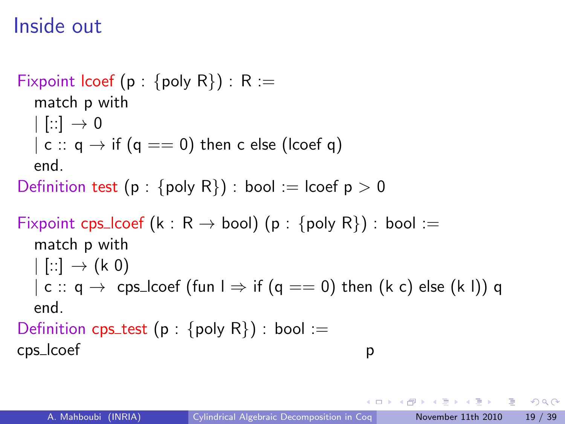```
Fixpoint lcoef (p : {poly R}) : R :=
  match p with
  | |::| \rightarrow 0| c :: q \rightarrow if (q == 0) then c else (lcoef q)
  end.
Definition test (p : {poly R}) : bool := lcoef p > 0Fixpoint cps_lcoef (k : R \rightarrow bool) (p : {poly R}) : bool :=
  match p with
  | |::] \rightarrow (k 0)
  | c :: q \rightarrow cps_lcoef (fun \rightarrow if (q == 0) then (k c) else (k l)) q
  end.
Definition cps_test (p : {poly R}) : bool :=
cps lcoef
                                                         p
```
化重变 医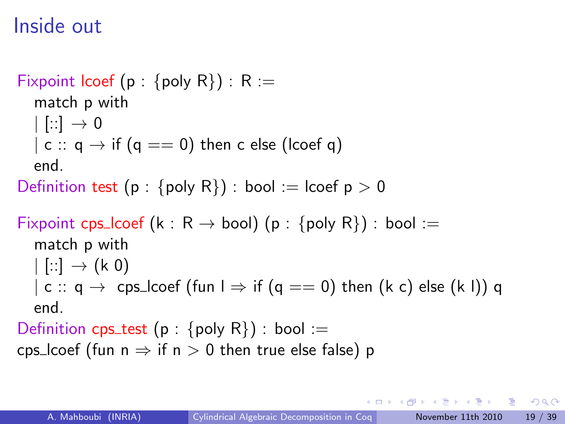```
Fixpoint lcoef (p : {poly R}) : R :=
  match p with
  | |::| \rightarrow 0| c :: q \rightarrow if (q == 0) then c else (lcoef q)
  end.
Definition test (p : {poly R}) : bool := lcoef p > 0Fixpoint cps_lcoef (k : R \rightarrow bool) (p : {poly R}) : bool :=
  match p with
  | |::] \rightarrow (k 0)
  | c :: q \rightarrow cps_lcoef (fun \rightarrow if (q == 0) then (k c) else (k l)) q
  end.
Definition cps_test (p : {poly R}) : bool :=
```
cps lcoef (fun  $n \Rightarrow$  if  $n > 0$  then true else false) p

医心室 医心室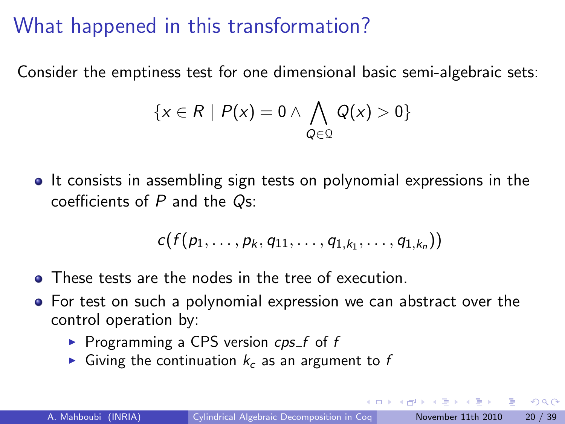Consider the emptiness test for one dimensional basic semi-algebraic sets:

$$
\{x \in R \mid P(x) = 0 \land \bigwedge_{Q \in \mathcal{Q}} Q(x) > 0\}
$$

• It consists in assembling sign tests on polynomial expressions in the coefficients of  $P$  and the  $Q_{S}$ :

$$
c(f(p_1,\ldots,p_k,q_{11},\ldots,q_{1,k_1},\ldots,q_{1,k_n}))
$$

- These tests are the nodes in the tree of execution.
- **•** For test on such a polynomial expression we can abstract over the control operation by:
	- Programming a CPS version  $cps_f$  of f
	- Giving the continuation  $k<sub>c</sub>$  as an argument to f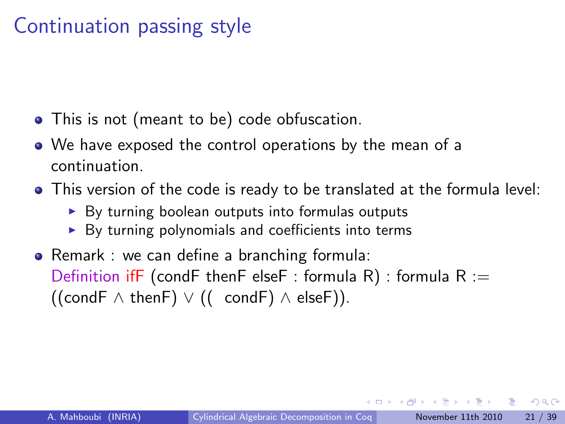## Continuation passing style

- This is not (meant to be) code obfuscation.
- We have exposed the control operations by the mean of a continuation.
- This version of the code is ready to be translated at the formula level:
	- $\triangleright$  By turning boolean outputs into formulas outputs
	- $\triangleright$  By turning polynomials and coefficients into terms
- Remark : we can define a branching formula: Definition ifF (condF thenF elseF : formula R) : formula  $R :=$  $((\text{condF} \wedge \text{thenF}) \vee ((\text{condF}) \wedge \text{elseF})).$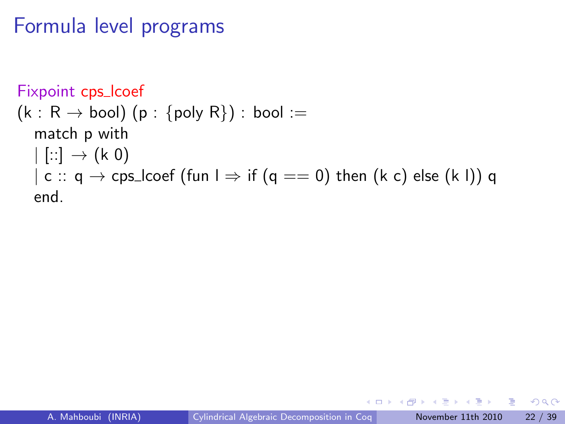```
Fixpoint cps_lcoef
(k: R \rightarrow \text{bool}) (p: \{\text{poly } R\}) : bool :=
   match p with
   | |::] \rightarrow (k 0)
   | c :: q \rightarrow cps_lcoef (fun l \Rightarrow if (q == 0) then (k c) else (k l)) q
   end.
```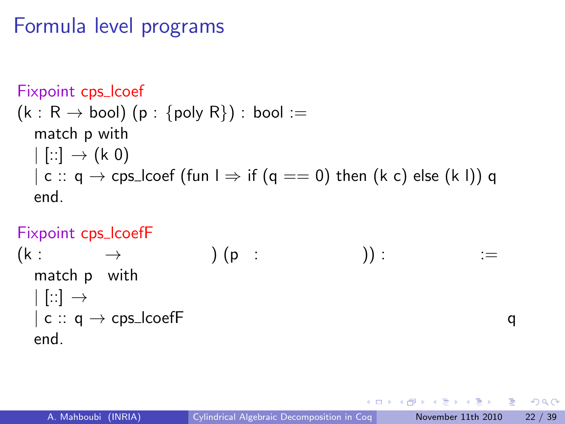```
Fixpoint cps_lcoef
(k: R \rightarrow \text{bool}) (p: \{\text{poly } R\}) : bool :=
   match p with
   | |::] \rightarrow (k 0)
   | c :: q \rightarrow cps_lcoef (fun l \Rightarrow if (q == 0) then (k c) else (k l)) q
   end.
```
#### Fixpoint cps\_lcoefF

```
(k :
                  \rightarrow) (p
:
                                                                          )) :
                                                                                                   :=
    match p
with
   | |::| \rightarrow| c :: q \rightarrow \text{cps\_looeff}q
   end.
```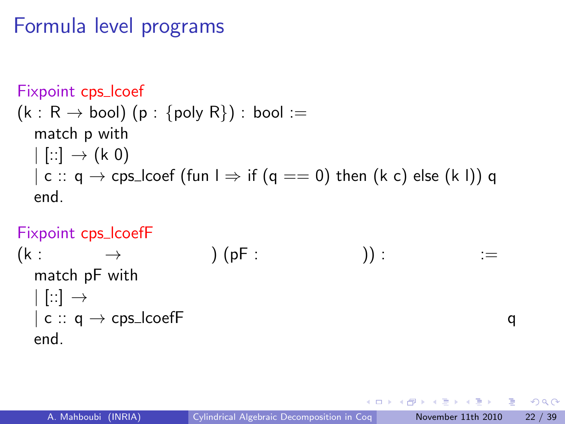```
Fixpoint cps lcoef
(k: R \rightarrow \text{bool}) (p: \{\text{poly } R\}) : bool :=
   match p with
   | |::] \rightarrow (k 0)
   | c :: q \rightarrow cps_lcoef (fun l \Rightarrow if (q == 0) then (k c) else (k l)) q
   end.
```
#### Fixpoint cps\_lcoefF

```
(k :
         \rightarrow) (pF :
                                                                             )) :
                                                                                                       :=
   match pF with
   | \cdot |: \cdot | \rightarrow| c :: q \rightarrow \text{cps\_looeff}q
   end.
```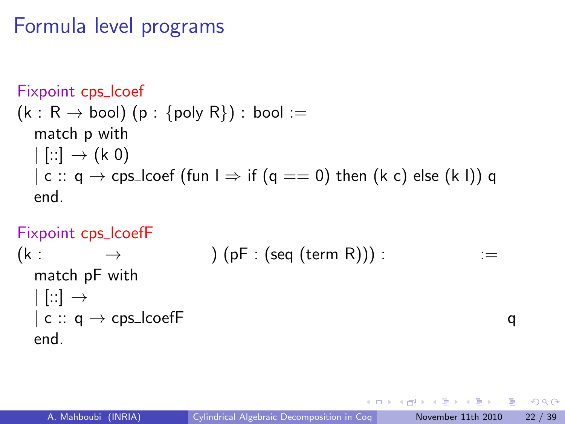```
Fixpoint cps_lcoef
(k: R \rightarrow \text{bool}) (p: \{\text{poly } R\}) : bool :=
   match p with
   | |::] \rightarrow (k 0)
   | c :: q \rightarrow cps_lcoef (fun l \Rightarrow if (q == 0) then (k c) else (k l)) q
   end.
```
#### Fixpoint cps\_lcoefF

$$
\begin{array}{ll} \text{(k:} & \rightarrow & \\ \text{match pF with} & \\ \mid [\because] \rightarrow \\ \mid \text{c:: q} \rightarrow \text{cps\_looeff} & \\ \text{end.} & \end{array} \hspace*{5mm} \begin{array}{ll} \text{(seq (term R))):} & \text{ := } \\ \text{end.} & \end{array}
$$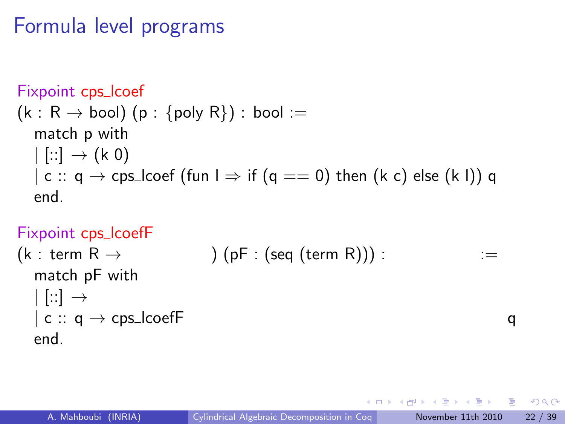```
Fixpoint cps lcoef
(k: R \rightarrow \text{bool}) (p: \{\text{poly } R\}) : bool :=
   match p with
   | [::] \rightarrow (k \ 0)| c :: q \rightarrow cps_lcoef (fun l \Rightarrow if (q == 0) then (k c) else (k l)) q
   end.
```
### Fixpoint cps lcoefF

```
(k : term R \rightarrow) (pF : (seq (term R))) :
                                                                                                   :=
   match pF with
   | \cdot |: \cdot | \rightarrow| c :: q \rightarrow \text{cps\_looeff}q
   end.
```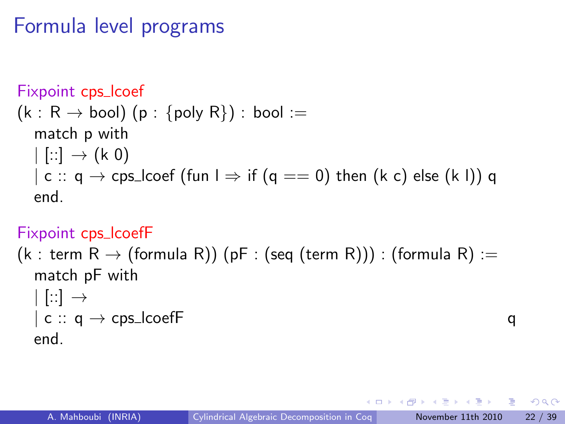```
Fixpoint cps lcoef
(k: R \rightarrow \text{bool}) (p: \{\text{poly } R\}) : bool :=
   match p with
   | [::] \rightarrow (k \ 0)| c :: q \rightarrow cps_lcoef (fun l \Rightarrow if (q == 0) then (k c) else (k l)) q
   end.
```
### Fixpoint cps\_lcoefF

(k : term R  $\rightarrow$  (formula R)) (pF : (seq (term R))) : (formula R) := match pF with  $| \cdot |: \cdot | \rightarrow$  $| c :: q \rightarrow \text{cps\_looeff}$ end.

q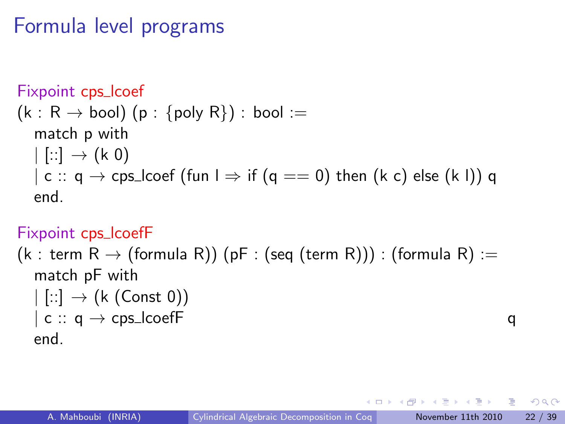```
Fixpoint cps_lcoef
(k: R \rightarrow \text{bool}) (p: \{\text{poly } R\}) : bool :=
   match p with
   | [::] \rightarrow (k \ 0)| c :: q \rightarrow cps_lcoef (fun l \Rightarrow if (q == 0) then (k c) else (k l)) q
   end.
```
### Fixpoint cps\_lcoefF

(k : term R  $\rightarrow$  (formula R)) (pF : (seq (term R))) : (formula R) := match pF with  $|$   $[:.] \rightarrow (k$  (Const 0))  $\vert c :: q \rightarrow \text{cps\_looeff}$ end.

q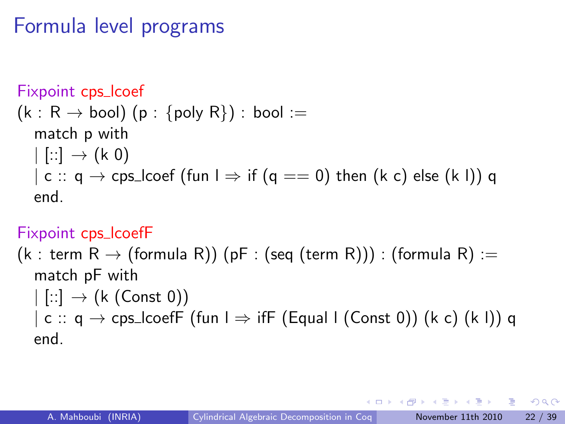```
Fixpoint cps_lcoef
(k: R \rightarrow \text{bool}) (p: \{\text{poly } R\}) : bool :=
   match p with
   | [::] \rightarrow (k \ 0)| c :: q \rightarrow cps_lcoef (fun \perp \Rightarrow if (q == 0) then (k c) else (k l)) q
   end.
```
### Fixpoint cps\_lcoefF

(k : term R  $\rightarrow$  (formula R)) (pF : (seq (term R))) : (formula R) := match pF with  $|$   $[:.] \rightarrow (k$  (Const 0))  $\vert$  c  $\colon$  q  $\to$  cps\_lcoefF (fun  $\vert \Rightarrow$  ifF (Equal I (Const 0)) (k c) (k I)) q end.

 $QQQ$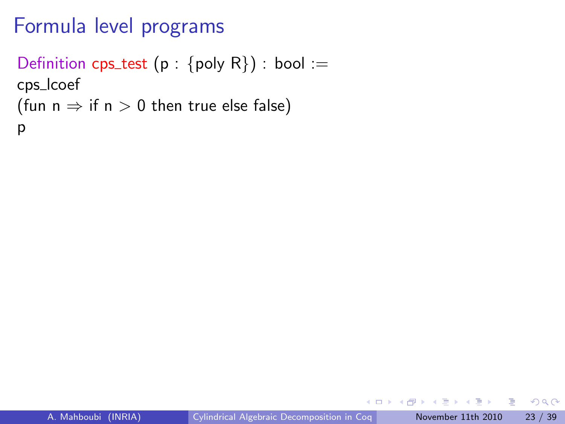```
Definition cps_test (p : {poly R}) : bool :=
cps lcoef
(fun n \Rightarrow if n > 0 then true else false)
p
```
 $-111$ 

э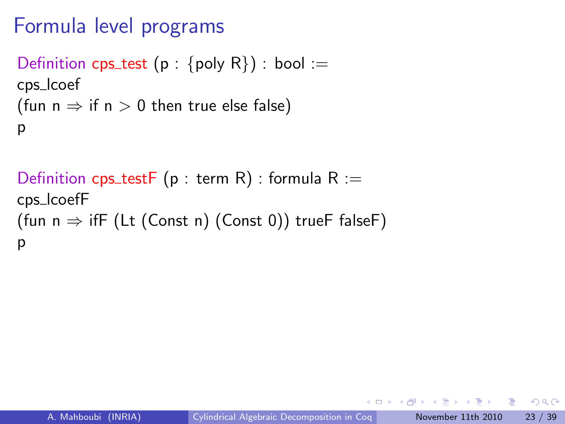```
Definition cps_test (p : {poly R}) : bool :=
cps lcoef
(fun n \Rightarrow if n > 0 then true else false)
p
```

```
Definition cps_testF (p : term R) : formula R :=
cps lcoefF
(fun n \Rightarrow ifF (Lt (Const n) (Const 0)) trueF falseF)
p
```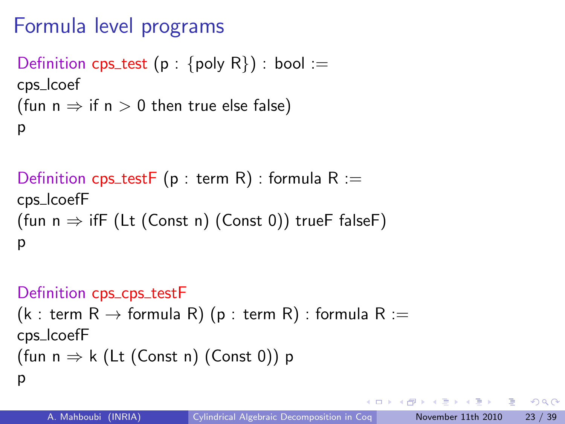```
Definition cps_test (p : {poly R}) : bool :=
cps lcoef
(fun n \Rightarrow if n > 0 then true else false)
p
```

```
Definition cps_testF (p : term R) : formula R :=
cps lcoefF
(fun n \Rightarrow ifF (Lt (Const n) (Const 0)) trueF falseF)
p
```
### Definition cps\_cps\_testF

```
(k : term R \rightarrow formula R) (p : term R) : formula R :=
cps lcoefF
(fun n \Rightarrow k (Lt (Const n) (Const 0)) p
p
```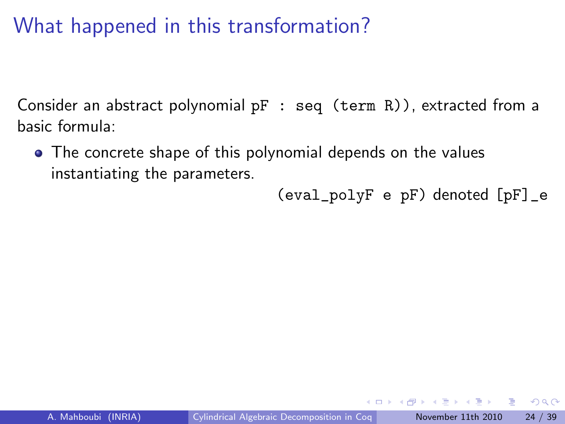Consider an abstract polynomial  $pF : seq (term R)$ , extracted from a basic formula:

The concrete shape of this polynomial depends on the values instantiating the parameters.

(eval\_polyF e pF) denoted [pF]\_e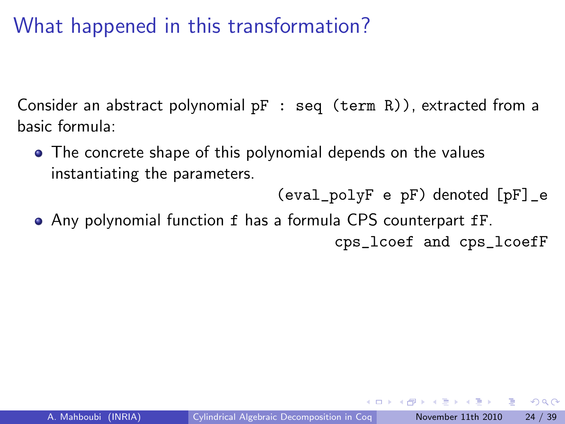Consider an abstract polynomial  $pF : seq (term R)$ , extracted from a basic formula:

• The concrete shape of this polynomial depends on the values instantiating the parameters.

(eval\_polyF e pF) denoted [pF]\_e

Any polynomial function f has a formula CPS counterpart fF.

cps\_lcoef and cps\_lcoefF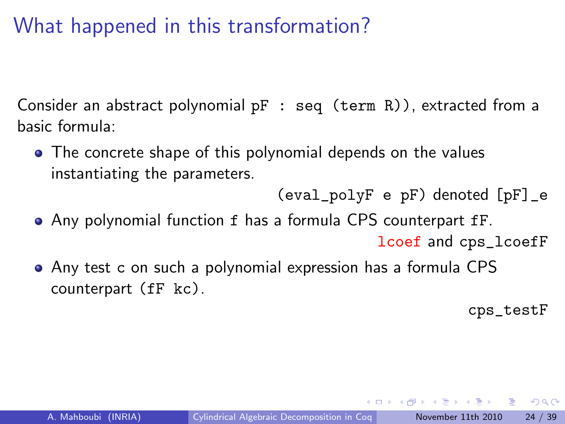Consider an abstract polynomial  $pF : seq (term R)$ , extracted from a basic formula:

• The concrete shape of this polynomial depends on the values instantiating the parameters.

(eval\_polyF e pF) denoted [pF]\_e

Any polynomial function f has a formula CPS counterpart fF.

lcoef and cps\_lcoefF

Any test c on such a polynomial expression has a formula CPS counterpart (fF kc).

cps\_testF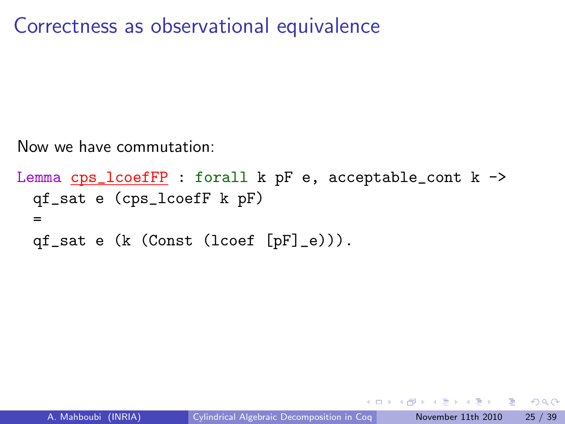Correctness as observational equivalence

Now we have commutation:

```
Lemma cps_lcoefFP : forall k pF e, acceptable_cont k ->
 qf_sat e (cps_lcoefF k pF)
  =
 qf_sat e (k (Const (lcoef [pF]_e))).
```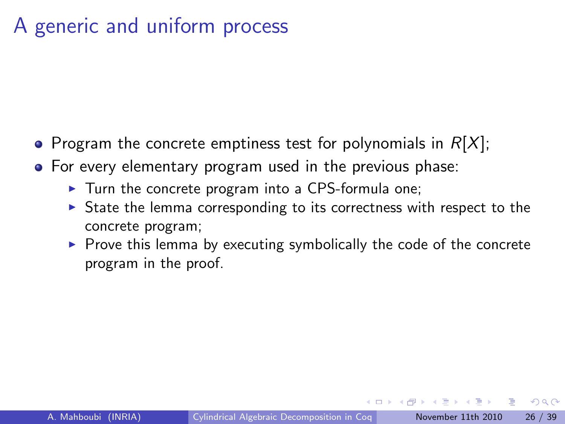## A generic and uniform process

- Program the concrete emptiness test for polynomials in  $R[X]$ ;
- For every elementary program used in the previous phase:
	- $\triangleright$  Turn the concrete program into a CPS-formula one;
	- $\triangleright$  State the lemma corresponding to its correctness with respect to the concrete program;
	- $\blacktriangleright$  Prove this lemma by executing symbolically the code of the concrete program in the proof.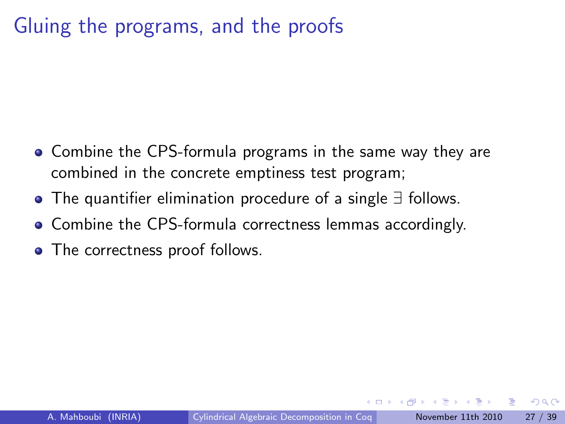## Gluing the programs, and the proofs

- Combine the CPS-formula programs in the same way they are combined in the concrete emptiness test program;
- The quantifier elimination procedure of a single ∃ follows.
- Combine the CPS-formula correctness lemmas accordingly.
- The correctness proof follows.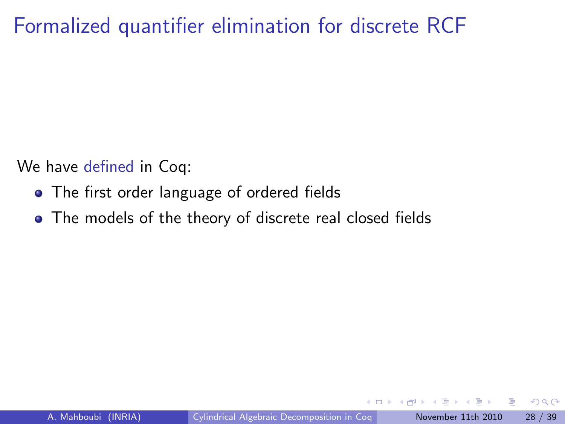We have defined in Coq:

- The first order language of ordered fields
- The models of the theory of discrete real closed fields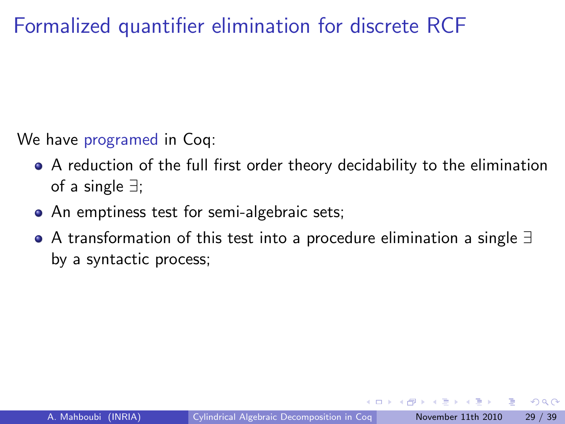We have programed in Coq:

- A reduction of the full first order theory decidability to the elimination of a single ∃;
- An emptiness test for semi-algebraic sets;
- A transformation of this test into a procedure elimination a single ∃ by a syntactic process;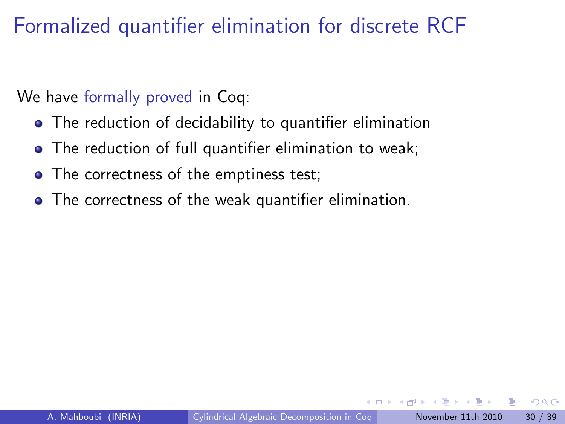We have formally proved in Coq:

- The reduction of decidability to quantifier elimination
- The reduction of full quantifier elimination to weak;
- The correctness of the emptiness test;
- The correctness of the weak quantifier elimination.

つひひ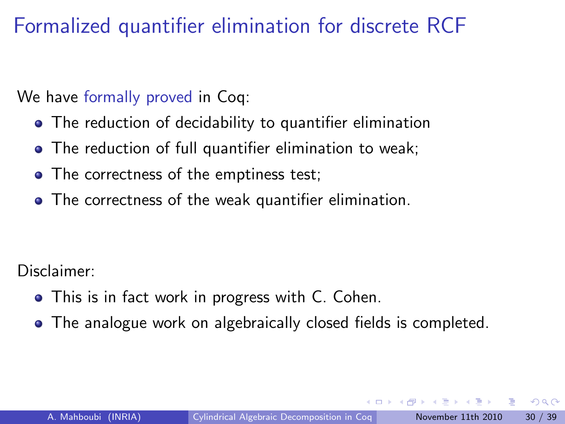We have formally proved in Coq:

- The reduction of decidability to quantifier elimination
- The reduction of full quantifier elimination to weak;
- The correctness of the emptiness test;
- The correctness of the weak quantifier elimination.

Disclaimer:

- This is in fact work in progress with C. Cohen.
- The analogue work on algebraically closed fields is completed.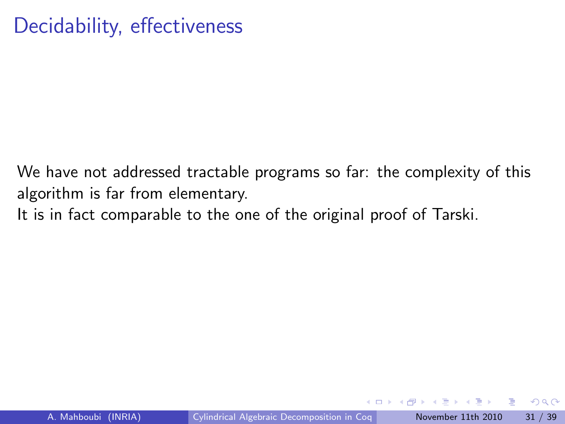We have not addressed tractable programs so far: the complexity of this algorithm is far from elementary.

It is in fact comparable to the one of the original proof of Tarski.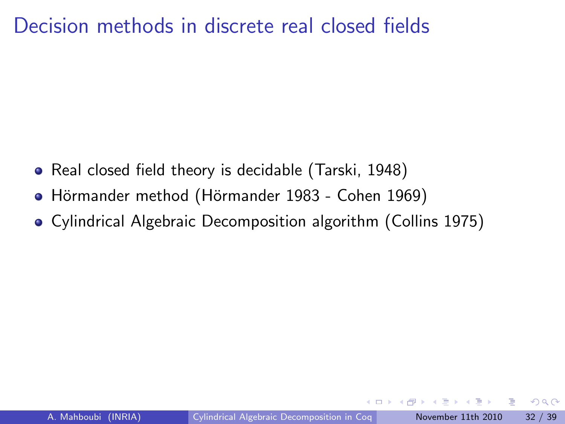### Decision methods in discrete real closed fields

- Real closed field theory is decidable (Tarski, 1948)
- Hörmander method (Hörmander 1983 Cohen 1969)
- Cylindrical Algebraic Decomposition algorithm (Collins 1975)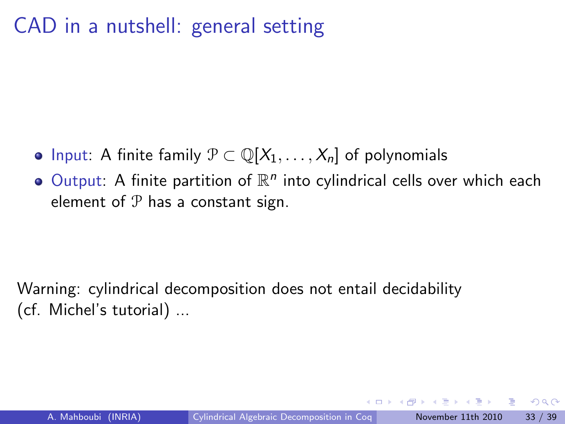## CAD in a nutshell: general setting

- Input: A finite family  $\mathcal{P} \subset \mathbb{Q}[X_1,\ldots,X_n]$  of polynomials
- Output: A finite partition of  $\mathbb{R}^n$  into cylindrical cells over which each element of  $P$  has a constant sign.

Warning: cylindrical decomposition does not entail decidability (cf. Michel's tutorial) ...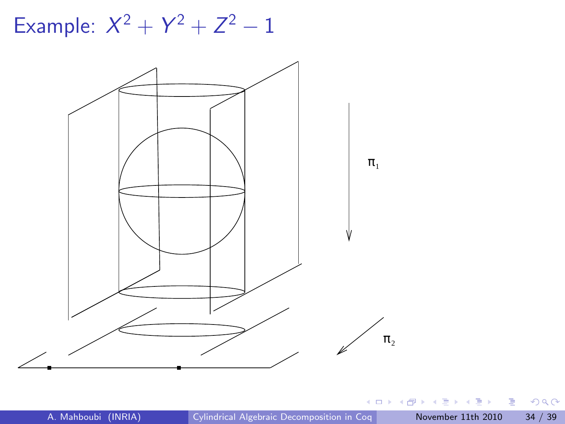Example:  $X^2 + Y^2 + Z^2 - 1$ 



K ロ ▶ K 個 ▶ K 로 ▶ K 로 ▶ - 로 - K 9 Q @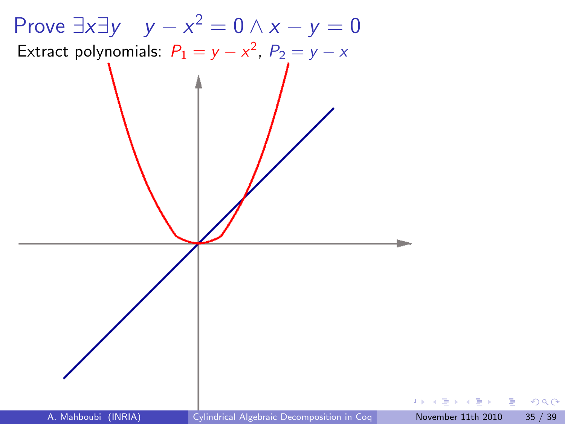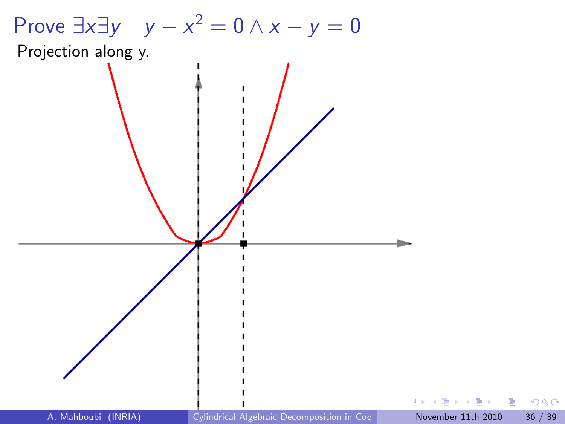

Projection along y.

 $1 +$ 

E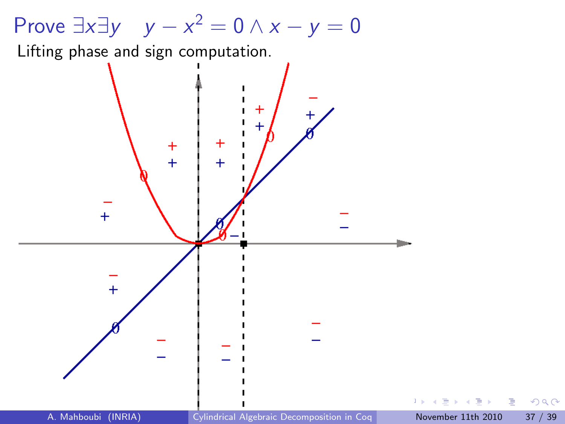# Prove  $\exists x \exists y \quad y - x^2 = 0 \land x - y = 0$

Lifting phase and sign computation.



 $\equiv$   $\rightarrow$ э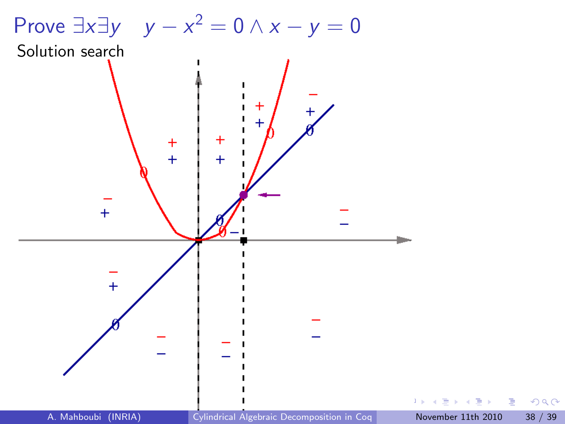